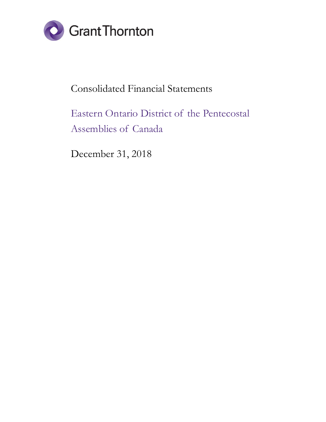

## Consolidated Financial Statements

# Eastern Ontario District of the Pentecostal Assemblies of Canada

December 31, 2018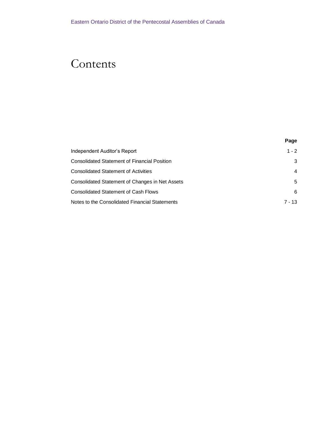# Contents

|                                                     | Page           |
|-----------------------------------------------------|----------------|
| Independent Auditor's Report                        | $1 - 2$        |
| <b>Consolidated Statement of Financial Position</b> | 3              |
| <b>Consolidated Statement of Activities</b>         | $\overline{4}$ |
| Consolidated Statement of Changes in Net Assets     | 5              |
| <b>Consolidated Statement of Cash Flows</b>         | 6              |
| Notes to the Consolidated Financial Statements      | $7 - 13$       |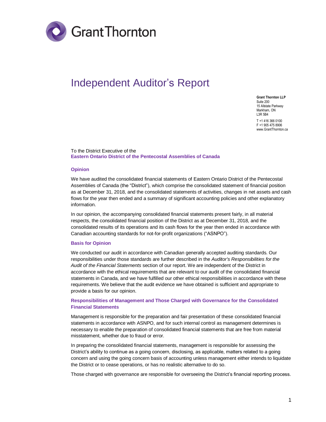

## <span id="page-2-0"></span>Independent Auditor's Report

**Grant Thornton LLP** Suite 200 15 Allstate Parkway Markham, ON L3R 5B4 T +1 416 366 0100 F +1 905 475 8906 www.GrantThornton.ca

#### To the District Executive of the **Eastern Ontario District of the Pentecostal Assemblies of Canada**

#### **Opinion**

We have audited the consolidated financial statements of Eastern Ontario District of the Pentecostal Assemblies of Canada (the "District"), which comprise the consolidated statement of financial position as at December 31, 2018, and the consolidated statements of activities, changes in net assets and cash flows for the year then ended and a summary of significant accounting policies and other explanatory information.

In our opinion, the accompanying consolidated financial statements present fairly, in all material respects, the consolidated financial position of the District as at December 31, 2018, and the consolidated results of its operations and its cash flows for the year then ended in accordance with Canadian accounting standards for not-for-profit organizations ("ASNPO").

#### **Basis for Opinion**

We conducted our audit in accordance with Canadian generally accepted auditing standards. Our responsibilities under those standards are further described in the *Auditor's Responsibilities for the Audit of the Financial Statements* section of our report. We are independent of the District in accordance with the ethical requirements that are relevant to our audit of the consolidated financial statements in Canada, and we have fulfilled our other ethical responsibilities in accordance with these requirements. We believe that the audit evidence we have obtained is sufficient and appropriate to provide a basis for our opinion.

#### **Responsibilities of Management and Those Charged with Governance for the Consolidated Financial Statements**

Management is responsible for the preparation and fair presentation of these consolidated financial statements in accordance with ASNPO, and for such internal control as management determines is necessary to enable the preparation of consolidated financial statements that are free from material misstatement, whether due to fraud or error.

In preparing the consolidated financial statements, management is responsible for assessing the District's ability to continue as a going concern, disclosing, as applicable, matters related to a going concern and using the going concern basis of accounting unless management either intends to liquidate the District or to cease operations, or has no realistic alternative to do so.

Those charged with governance are responsible for overseeing the District's financial reporting process.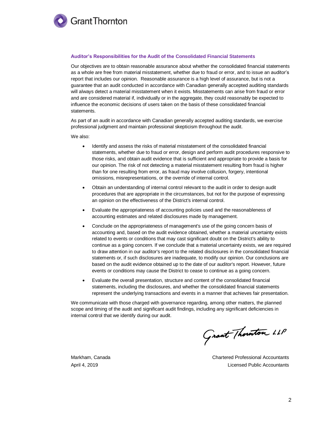

#### **Auditor's Responsibilities for the Audit of the Consolidated Financial Statements**

Our objectives are to obtain reasonable assurance about whether the consolidated financial statements as a whole are free from material misstatement, whether due to fraud or error, and to issue an auditor's report that includes our opinion. Reasonable assurance is a high level of assurance, but is not a guarantee that an audit conducted in accordance with Canadian generally accepted auditing standards will always detect a material misstatement when it exists. Misstatements can arise from fraud or error and are considered material if, individually or in the aggregate, they could reasonably be expected to influence the economic decisions of users taken on the basis of these consolidated financial statements.

As part of an audit in accordance with Canadian generally accepted auditing standards, we exercise professional judgment and maintain professional skepticism throughout the audit.

We also:

- Identify and assess the risks of material misstatement of the consolidated financial statements, whether due to fraud or error, design and perform audit procedures responsive to those risks, and obtain audit evidence that is sufficient and appropriate to provide a basis for our opinion. The risk of not detecting a material misstatement resulting from fraud is higher than for one resulting from error, as fraud may involve collusion, forgery, intentional omissions, misrepresentations, or the override of internal control.
- Obtain an understanding of internal control relevant to the audit in order to design audit procedures that are appropriate in the circumstances, but not for the purpose of expressing an opinion on the effectiveness of the District's internal control.
- Evaluate the appropriateness of accounting policies used and the reasonableness of accounting estimates and related disclosures made by management.
- Conclude on the appropriateness of management's use of the going concern basis of accounting and, based on the audit evidence obtained, whether a material uncertainty exists related to events or conditions that may cast significant doubt on the District's ability to continue as a going concern. If we conclude that a material uncertainty exists, we are required to draw attention in our auditor's report to the related disclosures in the consolidated financial statements or, if such disclosures are inadequate, to modify our opinion. Our conclusions are based on the audit evidence obtained up to the date of our auditor's report. However, future events or conditions may cause the District to cease to continue as a going concern.
- Evaluate the overall presentation, structure and content of the consolidated financial statements, including the disclosures, and whether the consolidated financial statements represent the underlying transactions and events in a manner that achieves fair presentation.

We communicate with those charged with governance regarding, among other matters, the planned scope and timing of the audit and significant audit findings, including any significant deficiencies in internal control that we identify during our audit.

Grant Thounton LLP

Markham, Canada Chartered Professional Accountants April 4, 2019 Licensed Public Accountants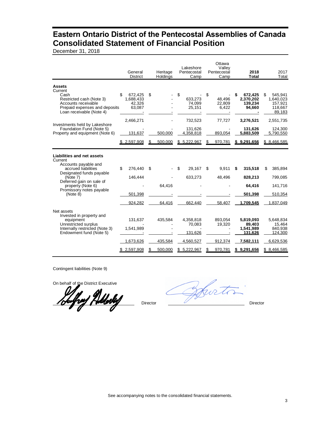### <span id="page-4-0"></span>**Eastern Ontario District of the Pentecostal Assemblies of Canada Consolidated Statement of Financial Position**

December 31, 2018

|                                                                                                                                                                                                                       | General<br><b>District</b>                      | Heritage<br>Holdings          | Lakeshore<br>Pentecostal<br>Camp                           | Ottawa<br>Vallev<br>Pentecostal<br>Camp | 2018<br><b>Total</b>                                                    | 2017<br>Total                                                         |
|-----------------------------------------------------------------------------------------------------------------------------------------------------------------------------------------------------------------------|-------------------------------------------------|-------------------------------|------------------------------------------------------------|-----------------------------------------|-------------------------------------------------------------------------|-----------------------------------------------------------------------|
| <b>Assets</b><br>Current<br>Cash<br>Restricted cash (Note 3)<br>Accounts receivable<br>Prepaid expenses and deposits<br>Loan receivable (Note 4)                                                                      | \$.<br>672,425<br>1,688,433<br>42.326<br>63,087 | \$                            | \$<br>633,273<br>74.099<br>25,151                          | \$<br>48,496<br>22.809<br>6,422         | 672,425<br>2,370,202<br>139.234<br>94,660                               | \$<br>545.941<br>1,640,023<br>157.921<br>118,667<br>89,183            |
|                                                                                                                                                                                                                       | 2,466,271                                       |                               | 732,523                                                    | 77,727                                  | 3,276,521                                                               | 2,551,735                                                             |
| Investments held by Lakeshore<br>Foundation Fund (Note 5)<br>Property and equipment (Note 6)                                                                                                                          | 131,637                                         | 500.000                       | 131,626<br>4,358,818                                       | 893.054                                 | 131,626<br>5.883.509                                                    | 124,300<br>5,790,550                                                  |
|                                                                                                                                                                                                                       | 2,597,908                                       | 500,000                       | 5,222,967                                                  | 970,781                                 | \$9,291,656                                                             | \$ 8,466,585                                                          |
| Liabilities and net assets<br>Current<br>Accounts payable and<br>accrued liabilities<br>Designated funds payable<br>(Note 7)<br>Deferred gain on sale of<br>property (Note 6)<br>Promissory notes payable<br>(Note 8) | \$<br>276.440<br>146,444<br>501.398<br>924.282  | \$<br>64,416<br>64,416        | \$<br>29.167<br>633,273<br>662.440                         | 9.911<br>\$<br>48,496<br>58.407         | 315,518<br>\$<br>828,213<br>64,416<br>501.398<br>1.709.545              | 385,894<br>\$<br>799,085<br>141,716<br>510,354<br>1.837.049           |
| Net assets<br>Invested in property and<br>equipment<br>Unrestricted surplus<br>Internally restricted (Note 3)<br>Endowment fund (Note 5)                                                                              | 131,637<br>1,541,989<br>1,673,626<br>2,597,908  | 435,584<br>435,584<br>500.000 | 4,358,818<br>70,083<br>131.626<br>4,560,527<br>\$5,222,967 | 893.054<br>19,320<br>912,374<br>970,781 | 5,819,093<br>89,403<br>1,541,989<br>131.626<br>7,582,111<br>\$9,291,656 | 5.648.834<br>15,464<br>840,938<br>124.300<br>6,629,536<br>\$8,466,585 |

Contingent liabilities (Note 9)

On behalf of the District Executive

<u>hay Ndoby</u>

Coffeet Director Director Director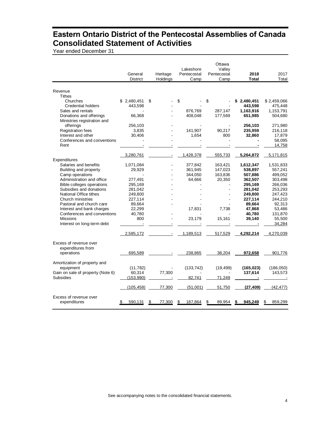### <span id="page-5-0"></span>**Eastern Ontario District of the Pentecostal Assemblies of Canada Consolidated Statement of Activities**

Year ended December 31

|                                   | General<br>District | Heritage<br>Holdings | Lakeshore<br>Pentecostal<br>Camp | Ottawa<br>Valley<br>Pentecostal<br>Camp | 2018<br><b>Total</b> | 2017<br>Total |
|-----------------------------------|---------------------|----------------------|----------------------------------|-----------------------------------------|----------------------|---------------|
| Revenue                           |                     |                      |                                  |                                         |                      |               |
| <b>Tithes</b>                     |                     |                      |                                  |                                         |                      |               |
| Churches                          | \$2,480,451         | \$                   | \$                               | \$                                      | 2,480,451<br>S       | \$2,459,066   |
| <b>Credential holders</b>         | 443,598             |                      |                                  |                                         | 443,598              | 475,448       |
| Sales and rentals                 |                     |                      | 876,769                          | 287,147                                 | 1,163,916            | 1,153,791     |
| Donations and offerings           | 66,368              |                      | 408,048                          | 177,569                                 | 651,985              | 504,680       |
| Ministries registration and       |                     |                      |                                  |                                         |                      |               |
| offerings                         | 256,103             |                      |                                  |                                         | 256,103              | 271,980       |
| <b>Registration fees</b>          | 3,835               |                      | 141,907                          | 90,217                                  | 235,959              | 216,118       |
| Interest and other                | 30,406              |                      | 1,654                            | 800                                     | 32,860               | 17,879        |
| Conferences and conventions       |                     |                      |                                  |                                         |                      | 58.095        |
| Rent                              |                     |                      |                                  |                                         |                      | 14,758        |
|                                   |                     |                      |                                  |                                         |                      |               |
|                                   | 3.280.761           |                      | 1.428.378                        | 555,733                                 | 5,264,872            | 5.171.815     |
| Expenditures                      |                     |                      |                                  |                                         |                      |               |
| Salaries and benefits             | 1,071,084           |                      | 377,842                          | 163,421                                 | 1,612,347            | 1,531,833     |
| Building and property             | 29,929              |                      | 361,945                          | 147,023                                 | 538,897              | 557,241       |
| Camp operations                   |                     |                      | 344,050                          | 163,836                                 | 507,886              | 499,052       |
| Administration and office         | 277,491             |                      | 64,666                           | 20,350                                  | 362,507              | 303,498       |
| Bible colleges operations         | 295,169             |                      |                                  |                                         | 295,169              | 266,036       |
| Subsidies and donations           | 281,042             |                      |                                  |                                         | 281,042              | 253,293       |
| National Office tithes            | 249,800             |                      |                                  |                                         | 249,800              | 247,423       |
| Church ministries                 | 227,114             |                      |                                  |                                         | 227,114              | 244,210       |
| Pastoral and church care          | 89,664              |                      |                                  |                                         | 89,664               | 92,313        |
| Interest and bank charges         | 22,299              |                      | 17,831                           | 7,738                                   | 47,868               | 53,486        |
| Conferences and conventions       | 40,780              |                      |                                  |                                         | 40,780               | 131,870       |
| <b>Missions</b>                   | 800                 |                      | 23,179                           | 15,161                                  | 39,140               | 55,500        |
| Interest on long-term debt        |                     |                      |                                  |                                         |                      | 34,284        |
|                                   | 2,585,172           |                      | 1,189,513                        | 517,529                                 | 4,292,214            | 4,270,039     |
| Excess of revenue over            |                     |                      |                                  |                                         |                      |               |
|                                   |                     |                      |                                  |                                         |                      |               |
| expenditures from                 |                     |                      |                                  |                                         |                      |               |
| operations                        | 695,589             |                      | 238,865                          | 38,204                                  | 972,658              | 901,776       |
| Amortization of property and      |                     |                      |                                  |                                         |                      |               |
| equipment                         | (11, 782)           |                      | (133, 742)                       | (19, 499)                               | (165, 023)           | (186,050)     |
| Gain on sale of property (Note 6) | 60,314              | 77,300               |                                  |                                         | 137,614              | 143,573       |
| Subsidies                         | (153,990)           |                      | 82,741                           | 71,249                                  |                      |               |
|                                   | (105, 458)          | 77,300               | (51,001)                         | 51,750                                  | (27, 409)            | (42, 477)     |
| Excess of revenue over            |                     |                      |                                  |                                         |                      |               |
| expenditures                      | 590,131             | 77,300               | 187,864                          | \$<br>89,954                            | 945,249<br>\$        | 859,299<br>S  |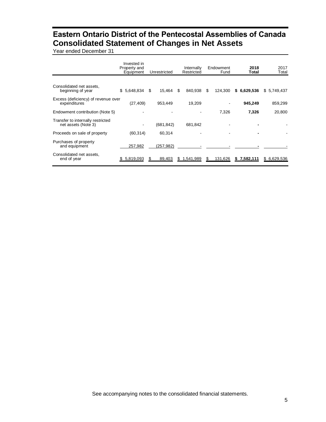### **Eastern Ontario District of the Pentecostal Assemblies of Canada Consolidated Statement of Changes in Net Assets**

<span id="page-6-0"></span>Year ended December 31

|                                                          | Invested in<br>Property and<br>Equipment | Unrestricted | Internally<br>Restricted | Endowment<br>Fund | 2018<br>Total   | 2017<br>Total |
|----------------------------------------------------------|------------------------------------------|--------------|--------------------------|-------------------|-----------------|---------------|
|                                                          |                                          |              |                          |                   |                 |               |
| Consolidated net assets,<br>beginning of year            | 5,648,834<br>\$                          | 15,464<br>\$ | 840,938<br>S.            | 124,300<br>S      | 6,629,536<br>S. | \$5,749,437   |
| Excess (deficiency) of revenue over<br>expenditures      | (27, 409)                                | 953,449      | 19,209                   |                   | 945,249         | 859,299       |
| Endowment contribution (Note 5)                          |                                          |              |                          | 7.326             | 7,326           | 20,800        |
| Transfer to internally restricted<br>net assets (Note 3) |                                          | (681, 842)   | 681,842                  |                   |                 |               |
| Proceeds on sale of property                             | (60, 314)                                | 60.314       |                          |                   |                 |               |
| Purchases of property<br>and equipment                   | 257,982                                  | (257, 982)   |                          |                   |                 |               |
| Consolidated net assets,<br>end of year                  | \$5,819,093                              | 89,403       | 1,541,989<br>\$.         | 131,626<br>S.     | \$7,582,111     | \$ 6,629,536  |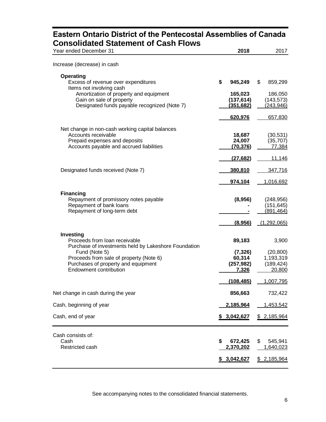### **Eastern Ontario District of the Pentecostal Assemblies of Canada Consolidated Statement of Cash Flows**

<span id="page-7-0"></span>

| Consonualed Olalement of Cash Flows                                |                       |                          |
|--------------------------------------------------------------------|-----------------------|--------------------------|
| Year ended December 31                                             | 2018                  | 2017                     |
| Increase (decrease) in cash                                        |                       |                          |
|                                                                    |                       |                          |
| <b>Operating</b>                                                   |                       |                          |
| Excess of revenue over expenditures                                | \$<br>945,249         | \$<br>859,299            |
| Items not involving cash                                           |                       |                          |
| Amortization of property and equipment<br>Gain on sale of property | 165,023<br>(137, 614) | 186,050<br>(143, 573)    |
| Designated funds payable recognized (Note 7)                       | (351, 682)            | (243, 946)               |
|                                                                    |                       |                          |
|                                                                    | 620,976               | 657,830                  |
| Net change in non-cash working capital balances                    |                       |                          |
| Accounts receivable                                                | 18,687                | (30, 531)                |
| Prepaid expenses and deposits                                      | 24,007                | (35, 707)                |
| Accounts payable and accrued liabilities                           | (70, 376)             | 77,384                   |
|                                                                    | (27, 682)             | 11,146                   |
|                                                                    |                       |                          |
| Designated funds received (Note 7)                                 | 380,810               | 347,716                  |
|                                                                    | 974,104               | 1,016,692                |
|                                                                    |                       |                          |
| <b>Financing</b>                                                   |                       |                          |
| Repayment of promissory notes payable<br>Repayment of bank loans   | (8,956)               | (248, 956)<br>(151, 645) |
| Repayment of long-term debt                                        |                       | (891, 464)               |
|                                                                    |                       |                          |
|                                                                    | (8,956)               | (1,292,065)              |
| Investing                                                          |                       |                          |
| Proceeds from loan receivable                                      | 89,183                | 3,900                    |
| Purchase of investments held by Lakeshore Foundation               |                       |                          |
| Fund (Note 5)                                                      | (7, 326)              | (20, 800)                |
| Proceeds from sale of property (Note 6)                            | 60,314                | 1,193,319                |
| Purchases of property and equipment                                | (257, 982)            | (189, 424)               |
| <b>Endowment contribution</b>                                      | 7,326                 | 20,800                   |
|                                                                    | (108, 485)            | 1,007,795                |
|                                                                    |                       |                          |
| Net change in cash during the year                                 | 856,663               | 732,422                  |
| Cash, beginning of year                                            | <u>2,185,964</u>      | 1,453,542                |
| Cash, end of year                                                  | \$3,042,627           | \$2,185,964              |
|                                                                    |                       |                          |
| Cash consists of:                                                  |                       |                          |
| Cash                                                               | \$<br>672,425         | \$<br>545,941            |
| Restricted cash                                                    | 2,370,202             | 1,640,023                |
|                                                                    |                       |                          |
|                                                                    | \$3,042,627           | \$2,185,964              |

See accompanying notes to the consolidated financial statements.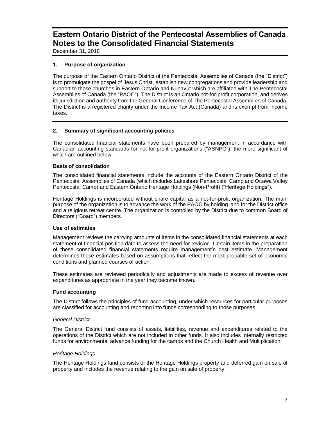<span id="page-8-0"></span>December 31, 2018

#### **1. Purpose of organization**

The purpose of the Eastern Ontario District of the Pentecostal Assemblies of Canada (the "District") is to promulgate the gospel of Jesus Christ, establish new congregations and provide leadership and support to those churches in Eastern Ontario and Nunavut which are affiliated with The Pentecostal Assemblies of Canada (the "PAOC"). The District is an Ontario not-for-profit corporation, and derives its jurisdiction and authority from the General Conference of The Pentecostal Assemblies of Canada. The District is a registered charity under the Income Tax Act (Canada) and is exempt from income taxes.

#### **2. Summary of significant accounting policies**

The consolidated financial statements have been prepared by management in accordance with Canadian accounting standards for not-for-profit organizations ("ASNPO"), the more significant of which are outlined below.

#### **Basis of consolidation**

The consolidated financial statements include the accounts of the Eastern Ontario District of the Pentecostal Assemblies of Canada (which includes Lakeshore Pentecostal Camp and Ottawa Valley Pentecostal Camp) and Eastern Ontario Heritage Holdings (Non-Profit) ("Heritage Holdings").

Heritage Holdings is incorporated without share capital as a not-for-profit organization. The main purpose of the organization is to advance the work of the PAOC by holding land for the District office and a religious retreat centre. The organization is controlled by the District due to common Board of Directors ("Board") members.

#### **Use of estimates**

Management reviews the carrying amounts of items in the consolidated financial statements at each statement of financial position date to assess the need for revision. Certain items in the preparation of these consolidated financial statements require management's best estimate. Management determines these estimates based on assumptions that reflect the most probable set of economic conditions and planned courses of action.

These estimates are reviewed periodically and adjustments are made to excess of revenue over expenditures as appropriate in the year they become known.

#### **Fund accounting**

The District follows the principles of fund accounting, under which resources for particular purposes are classified for accounting and reporting into funds corresponding to those purposes.

#### *General District*

The General District fund consists of assets, liabilities, revenue and expenditures related to the operations of the District which are not included in other funds. It also includes internally restricted funds for environmental advance funding for the camps and the Church Health and Multiplication.

#### *Heritage Holdings*

The Heritage Holdings fund consists of the Heritage Holdings property and deferred gain on sale of property and includes the revenue relating to the gain on sale of property.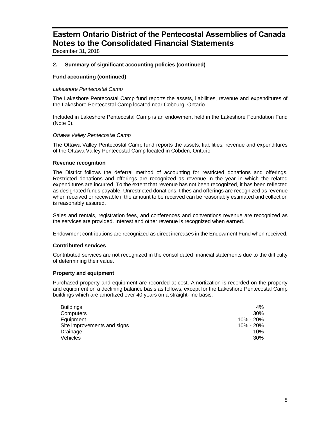December 31, 2018

#### **2. Summary of significant accounting policies (continued)**

#### **Fund accounting (continued)**

#### *Lakeshore Pentecostal Camp*

The Lakeshore Pentecostal Camp fund reports the assets, liabilities, revenue and expenditures of the Lakeshore Pentecostal Camp located near Cobourg, Ontario.

Included in Lakeshore Pentecostal Camp is an endowment held in the Lakeshore Foundation Fund (Note 5).

#### *Ottawa Valley Pentecostal Camp*

The Ottawa Valley Pentecostal Camp fund reports the assets, liabilities, revenue and expenditures of the Ottawa Valley Pentecostal Camp located in Cobden, Ontario.

#### **Revenue recognition**

The District follows the deferral method of accounting for restricted donations and offerings. Restricted donations and offerings are recognized as revenue in the year in which the related expenditures are incurred. To the extent that revenue has not been recognized, it has been reflected as designated funds payable. Unrestricted donations, tithes and offerings are recognized as revenue when received or receivable if the amount to be received can be reasonably estimated and collection is reasonably assured.

Sales and rentals, registration fees, and conferences and conventions revenue are recognized as the services are provided. Interest and other revenue is recognized when earned.

Endowment contributions are recognized as direct increases in the Endowment Fund when received.

#### **Contributed services**

Contributed services are not recognized in the consolidated financial statements due to the difficulty of determining their value.

#### **Property and equipment**

Purchased property and equipment are recorded at cost. Amortization is recorded on the property and equipment on a declining balance basis as follows, except for the Lakeshore Pentecostal Camp buildings which are amortized over 40 years on a straight-line basis:

| <b>Buildings</b>            | $4\%$     |
|-----------------------------|-----------|
| Computers                   | 30%       |
| Equipment                   | 10% - 20% |
| Site improvements and signs | 10% - 20% |
| Drainage                    | 10%       |
| Vehicles                    | 30%       |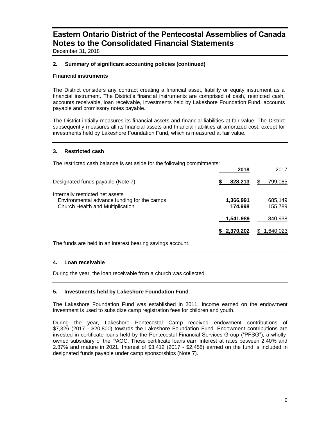December 31, 2018

#### **2. Summary of significant accounting policies (continued)**

#### **Financial instruments**

The District considers any contract creating a financial asset, liability or equity instrument as a financial instrument. The District's financial instruments are comprised of cash, restricted cash, accounts receivable, loan receivable, investments held by Lakeshore Foundation Fund, accounts payable and promissory notes payable.

The District initially measures its financial assets and financial liabilities at fair value. The District subsequently measures all its financial assets and financial liabilities at amortized cost, except for investments held by Lakeshore Foundation Fund, which is measured at fair value.

#### **3. Restricted cash**

The restricted cash balance is set aside for the following commitments:

| 799.085            |
|--------------------|
| 685,149<br>155,789 |
| 840,938            |
| 1,640,023          |
|                    |

The funds are held in an interest bearing savings account.

#### **4. Loan receivable**

During the year, the loan receivable from a church was collected.

#### **5. Investments held by Lakeshore Foundation Fund**

The Lakeshore Foundation Fund was established in 2011. Income earned on the endowment investment is used to subsidize camp registration fees for children and youth.

During the year, Lakeshore Pentecostal Camp received endowment contributions of \$7,326 (2017 - \$20,800) towards the Lakeshore Foundation Fund. Endowment contributions are invested in certificate loans held by the Pentecostal Financial Services Group ("PFSG"), a whollyowned subsidiary of the PAOC. These certificate loans earn interest at rates between 2.40% and 2.87% and mature in 2021. Interest of \$3,412 (2017 - \$2,458) earned on the fund is included in designated funds payable under camp sponsorships (Note 7).

**2018** 2017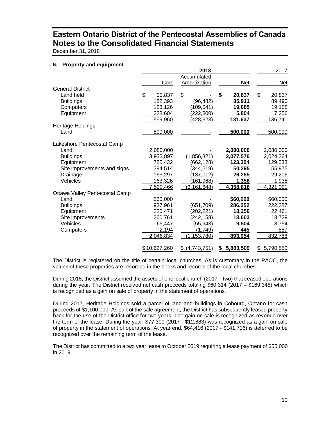December 31, 2018

#### **6. Property and equipment**

|                                |              | 2018             |                | 2017         |
|--------------------------------|--------------|------------------|----------------|--------------|
|                                |              | Accumulated      |                |              |
|                                | Cost         | Amortization     | <b>Net</b>     | Net          |
| <b>General District</b>        |              |                  |                |              |
| Land held                      | \$<br>20,837 | \$               | \$<br>20,837   | \$<br>20,837 |
| <b>Buildings</b>               | 182,393      | (96, 482)        | 85,911         | 89,490       |
| Computers                      | 128,126      | (109, 041)       | 19,085         | 19,158       |
| Equipment                      | 228,604      | (222, 800)       | 5,804          | 7,256        |
|                                | 559,960      | <u>(428,323)</u> | 131,637        | 136,741      |
| Heritage Holdings              |              |                  |                |              |
| Land                           | 500,000      |                  | 500,000        | 500,000      |
| Lakeshore Pentecostal Camp     |              |                  |                |              |
| Land                           | 2,080,000    |                  | 2,080,000      | 2,080,000    |
| <b>Buildings</b>               | 3,933,897    | (1,856,321)      | 2,077,576      | 2,024,364    |
| Equipment                      | 785,432      | (662, 128)       | 123,304        | 129,538      |
| Site improvements and signs    | 394,514      | (344, 219)       | 50,295         | 55,975       |
| Drainage                       | 163,297      | (137, 012)       | 26,285         | 29,206       |
| Vehicles                       | 163,326      | (161, 968)       | 1,358          | 1,938        |
|                                | 7,520,466    | (3, 161, 648)    | 4,358,818      | 4,321,021    |
| Ottawa Valley Pentecostal Camp |              |                  |                |              |
| Land                           | 560,000      |                  | 560,000        | 560,000      |
| <b>Buildings</b>               | 937,961      | (651, 709)       | 286,252        | 222,287      |
| Equipment                      | 220,471      | (202, 221)       | 18,250         | 22,461       |
| Site improvements              | 260,761      | (242, 158)       | 18,603         | 18,729       |
| Vehicles                       | 65,447       | (55, 943)        | 9,504          | 8,754        |
| Computers                      | 2,194        | (1,749)          | 445            | 557          |
|                                | 2,046,834    | (1, 153, 780)    | 893,054        | 832,788      |
|                                | \$10,627,260 | \$ (4,743,751)   | 5,883,509<br>S | \$5,790,550  |

The District is registered on the title of certain local churches. As is customary in the PAOC, the values of these properties are recorded in the books and records of the local churches.

During 2018, the District assumed the assets of one local church (2017 – two) that ceased operations during the year. The District received net cash proceeds totaling \$60,314 (2017 – \$169,348) which is recognized as a gain on sale of property in the statement of operations.

During 2017, Heritage Holdings sold a parcel of land and buildings in Cobourg, Ontario for cash proceeds of \$1,100,000. As part of the sale agreement, the District has subsequently leased property back for the use of the District office for two years. The gain on sale is recognized as revenue over the term of the lease. During the year, \$77,300 (2017 - \$12,883) was recognized as a gain on sale of property in the statement of operations. At year end, \$64,416 (2017 - \$141,716) is deferred to be recognized over the remaining term of the lease.

The District has committed to a two year lease to October 2019 requiring a lease payment of \$55,000 in 2019.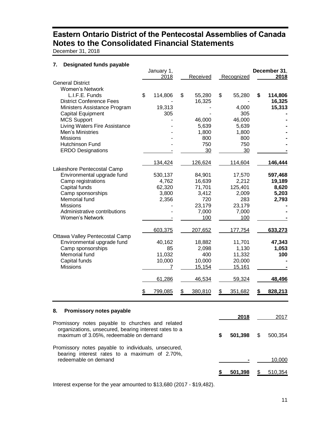December 31, 2018

#### **7. Designated funds payable**

| Poolgnatoa itirao pay                                                                           | January 1,<br>2018 | Received      | Recognized    | December 31,<br>2018 |
|-------------------------------------------------------------------------------------------------|--------------------|---------------|---------------|----------------------|
| <b>General District</b>                                                                         |                    |               |               |                      |
| <b>Women's Network</b>                                                                          |                    |               |               |                      |
| L.I.F.E. Funds                                                                                  | \$<br>114,806      | \$<br>55,280  | \$<br>55,280  | \$<br>114,806        |
| <b>District Conference Fees</b>                                                                 |                    | 16,325        |               | 16,325               |
| Ministers Assistance Program                                                                    | 19,313             |               | 4,000         | 15,313               |
| <b>Capital Equipment</b>                                                                        | 305                |               | 305           |                      |
| <b>MCS Support</b>                                                                              |                    | 46,000        | 46,000        |                      |
| Living Waters Fire Assistance                                                                   |                    | 5,639         | 5,639         |                      |
| Men's Ministries                                                                                |                    | 1,800         | 1,800         |                      |
| <b>Missions</b>                                                                                 |                    | 800           | 800           |                      |
| Hutchinson Fund                                                                                 |                    | 750           | 750           |                      |
| <b>ERDO Designations</b>                                                                        |                    | 30            | 30            |                      |
|                                                                                                 | 134,424            | 126,624       | 114,604       | 146,444              |
| Lakeshore Pentecostal Camp                                                                      |                    |               |               |                      |
| Environmental upgrade fund                                                                      | 530,137            | 84,901        | 17,570        | 597,468              |
| Camp registrations                                                                              | 4,762              | 16,639        | 2,212         | 19,189               |
| Capital funds                                                                                   | 62,320             | 71,701        | 125,401       | 8,620                |
| Camp sponsorships                                                                               | 3,800              | 3,412         | 2,009         | 5,203                |
| Memorial fund                                                                                   | 2,356              | 720           | 283           | 2,793                |
| <b>Missions</b>                                                                                 |                    | 23,179        | 23,179        |                      |
| Administrative contributions                                                                    |                    | 7,000         | 7,000         |                      |
| <b>Women's Network</b>                                                                          |                    | 100           | 100           |                      |
|                                                                                                 | 603,375            | 207,652       | 177,754       | 633,273              |
| Ottawa Valley Pentecostal Camp                                                                  |                    |               |               |                      |
| Environmental upgrade fund                                                                      | 40,162             | 18,882        | 11,701        | 47,343               |
| Camp sponsorships                                                                               | 85                 | 2,098         | 1,130         | 1,053                |
| Memorial fund                                                                                   | 11,032             | 400           | 11,332        | 100                  |
| Capital funds                                                                                   | 10,000             | 10,000        | 20,000        |                      |
| <b>Missions</b>                                                                                 | 7                  | 15,154        | 15,161        |                      |
|                                                                                                 | 61,286             | 46,534        | 59,324        | 48,496               |
|                                                                                                 | 799,085<br>S       | 380,810<br>\$ | 351,682<br>\$ | 828,213<br>S.        |
|                                                                                                 |                    |               |               |                      |
| Promissory notes payable<br>8.                                                                  |                    | 2018          | 2017          |                      |
| Promissory notes payable to churches and related                                                |                    |               |               |                      |
| organizations, unsecured, bearing interest rates to a<br>maximum of 3.05%, redeemable on demand |                    |               | \$<br>501,398 | \$<br>500,354        |

Promissory notes payable to individuals, unsecured, bearing interest rates to a maximum of 2.70%, redeemable on demand **and**  $\overline{10,000}$  **-** 10,000

**\$ 501,398** \$ 510,354

Interest expense for the year amounted to \$13,680 (2017 - \$19,482).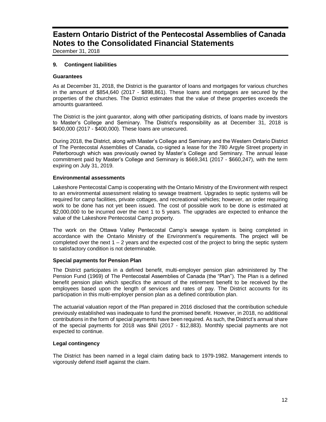December 31, 2018

#### **9. Contingent liabilities**

#### **Guarantees**

As at December 31, 2018, the District is the guarantor of loans and mortgages for various churches in the amount of \$854,640 (2017 - \$898,861). These loans and mortgages are secured by the properties of the churches. The District estimates that the value of these properties exceeds the amounts guaranteed.

The District is the joint guarantor, along with other participating districts, of loans made by investors to Master's College and Seminary. The District's responsibility as at December 31, 2018 is \$400,000 (2017 - \$400,000). These loans are unsecured.

During 2018, the District, along with Master's College and Seminary and the Western Ontario District of The Pentecostal Assemblies of Canada, co-signed a lease for the 780 Argyle Street property in Peterborough which was previously owned by Master's College and Seminary. The annual lease commitment paid by Master's College and Seminary is \$669,341 (2017 - \$660,247), with the term expiring on July 31, 2019.

#### **Environmental assessments**

Lakeshore Pentecostal Camp is cooperating with the Ontario Ministry of the Environment with respect to an environmental assessment relating to sewage treatment. Upgrades to septic systems will be required for camp facilities, private cottages, and recreational vehicles; however, an order requiring work to be done has not yet been issued. The cost of possible work to be done is estimated at \$2,000,000 to be incurred over the next 1 to 5 years. The upgrades are expected to enhance the value of the Lakeshore Pentecostal Camp property.

The work on the Ottawa Valley Pentecostal Camp's sewage system is being completed in accordance with the Ontario Ministry of the Environment's requirements. The project will be completed over the next 1 – 2 years and the expected cost of the project to bring the septic system to satisfactory condition is not determinable.

#### **Special payments for Pension Plan**

The District participates in a defined benefit, multi-employer pension plan administered by The Pension Fund (1969) of The Pentecostal Assemblies of Canada (the "Plan"). The Plan is a defined benefit pension plan which specifics the amount of the retirement benefit to be received by the employees based upon the length of services and rates of pay. The District accounts for its participation in this multi-employer pension plan as a defined contribution plan.

The actuarial valuation report of the Plan prepared in 2016 disclosed that the contribution schedule previously established was inadequate to fund the promised benefit. However, in 2018, no additional contributions in the form of special payments have been required. As such, the District's annual share of the special payments for 2018 was \$Nil (2017 - \$12,883). Monthly special payments are not expected to continue.

#### **Legal contingency**

The District has been named in a legal claim dating back to 1979-1982. Management intends to vigorously defend itself against the claim.